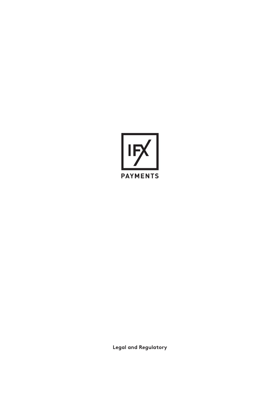

**Legal and Regulatory**